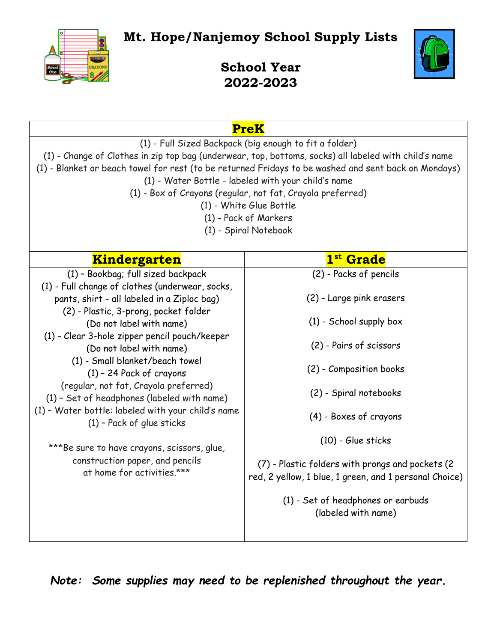**Mt. Hope/Nanjemoy School Supply Lists**



**School Year 2022-2023**

| <b>PreK</b>                                                                                                                                                                                                                                                                                                                                                                                                                                                                                                                                                                                                                                          |                                                                                                                                                                                                                                                                                                                                                                                               |
|------------------------------------------------------------------------------------------------------------------------------------------------------------------------------------------------------------------------------------------------------------------------------------------------------------------------------------------------------------------------------------------------------------------------------------------------------------------------------------------------------------------------------------------------------------------------------------------------------------------------------------------------------|-----------------------------------------------------------------------------------------------------------------------------------------------------------------------------------------------------------------------------------------------------------------------------------------------------------------------------------------------------------------------------------------------|
| (1) - Full Sized Backpack (big enough to fit a folder)<br>(1) - Change of Clothes in zip top bag (underwear, top, bottoms, socks) all labeled with child's name<br>(1) - Blanket or beach towel for rest (to be returned Fridays to be washed and sent back on Mondays)<br>(1) - Water Bottle - labeled with your child's name<br>(1) - Box of Crayons (regular, not fat, Crayola preferred)<br>(1) - White Glue Bottle<br>(1) - Pack of Markers<br>(1) - Spiral Notebook                                                                                                                                                                            |                                                                                                                                                                                                                                                                                                                                                                                               |
| <b>Kindergarten</b>                                                                                                                                                                                                                                                                                                                                                                                                                                                                                                                                                                                                                                  | 1 <sup>st</sup> Grade                                                                                                                                                                                                                                                                                                                                                                         |
| (1) - Bookbag; full sized backpack<br>(1) - Full change of clothes (underwear, socks,<br>pants, shirt - all labeled in a Ziploc bag)<br>(2) - Plastic, 3-prong, pocket folder<br>(Do not label with name)<br>(1) - Clear 3-hole zipper pencil pouch/keeper<br>(Do not label with name)<br>(1) - Small blanket/beach towel<br>$(1)$ - 24 Pack of crayons<br>(regular, not fat, Crayola preferred)<br>(1) - Set of headphones (labeled with name)<br>(1) - Water bottle: labeled with your child's name<br>$(1)$ - Pack of glue sticks<br>***Be sure to have crayons, scissors, glue,<br>construction paper, and pencils<br>at home for activities.*** | (2) - Packs of pencils<br>(2) - Large pink erasers<br>$(1)$ - School supply box<br>(2) - Pairs of scissors<br>(2) - Composition books<br>(2) - Spiral notebooks<br>(4) - Boxes of crayons<br>$(10)$ - Glue sticks<br>(7) - Plastic folders with prongs and pockets (2)<br>red, 2 yellow, 1 blue, 1 green, and 1 personal Choice)<br>(1) - Set of headphones or earbuds<br>(labeled with name) |

*Note: Some supplies may need to be replenished throughout the year.*